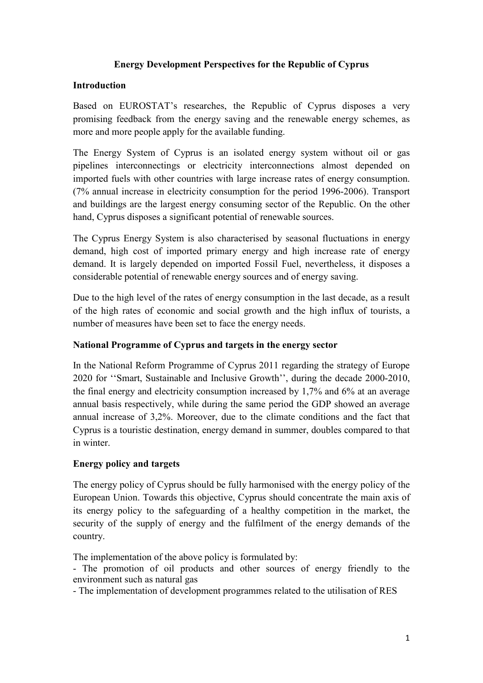## **Energy Development Perspectives for the Republic of Cyprus**

#### **Introduction**

Based on EUROSTAT's researches, the Republic of Cyprus disposes a very promising feedback from the energy saving and the renewable energy schemes, as more and more people apply for the available funding.

The Energy System of Cyprus is an isolated energy system without oil or gas pipelines interconnectings or electricity interconnections almost depended on imported fuels with other countries with large increase rates of energy consumption. (7% annual increase in electricity consumption for the period 1996-2006). Transport and buildings are the largest energy consuming sector of the Republic. On the other hand, Cyprus disposes a significant potential of renewable sources.

The Cyprus Energy System is also characterised by seasonal fluctuations in energy demand, high cost of imported primary energy and high increase rate of energy demand. It is largely depended on imported Fossil Fuel, nevertheless, it disposes a considerable potential of renewable energy sources and of energy saving.

Due to the high level of the rates of energy consumption in the last decade, as a result of the high rates of economic and social growth and the high influx of tourists, a number of measures have been set to face the energy needs.

#### **National Programme of Cyprus and targets in the energy sector**

In the National Reform Programme of Cyprus 2011 regarding the strategy of Europe 2020 for ''Smart, Sustainable and Inclusive Growth'', during the decade 2000-2010, the final energy and electricity consumption increased by 1,7% and 6% at an average annual basis respectively, while during the same period the GDP showed an average annual increase of 3,2%. Moreover, due to the climate conditions and the fact that Cyprus is a touristic destination, energy demand in summer, doubles compared to that in winter.

#### **Energy policy and targets**

The energy policy of Cyprus should be fully harmonised with the energy policy of the European Union. Towards this objective, Cyprus should concentrate the main axis of its energy policy to the safeguarding of a healthy competition in the market, the security of the supply of energy and the fulfilment of the energy demands of the country.

The implementation of the above policy is formulated by:

- The promotion of oil products and other sources of energy friendly to the environment such as natural gas

- The implementation of development programmes related to the utilisation of RES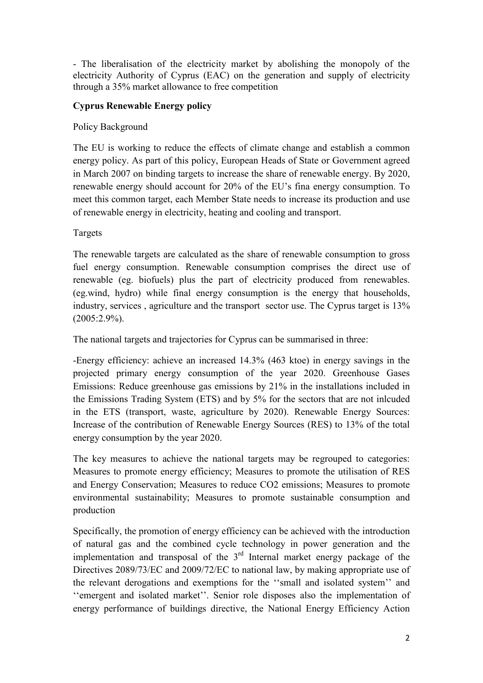- The liberalisation of the electricity market by abolishing the monopoly of the electricity Authority of Cyprus (EAC) on the generation and supply of electricity through a 35% market allowance to free competition

## **Cyprus Renewable Energy policy**

### Policy Background

The EU is working to reduce the effects of climate change and establish a common energy policy. As part of this policy, European Heads of State or Government agreed in March 2007 on binding targets to increase the share of renewable energy. By 2020, renewable energy should account for 20% of the EU's fina energy consumption. To meet this common target, each Member State needs to increase its production and use of renewable energy in electricity, heating and cooling and transport.

Targets

The renewable targets are calculated as the share of renewable consumption to gross fuel energy consumption. Renewable consumption comprises the direct use of renewable (eg. biofuels) plus the part of electricity produced from renewables. (eg.wind, hydro) while final energy consumption is the energy that households, industry, services , agriculture and the transport sector use. The Cyprus target is 13%  $(2005:2.9\%).$ 

The national targets and trajectories for Cyprus can be summarised in three:

-Energy efficiency: achieve an increased 14.3% (463 ktoe) in energy savings in the projected primary energy consumption of the year 2020. Greenhouse Gases Emissions: Reduce greenhouse gas emissions by 21% in the installations included in the Emissions Trading System (ETS) and by 5% for the sectors that are not inlcuded in the ETS (transport, waste, agriculture by 2020). Renewable Energy Sources: Increase of the contribution of Renewable Energy Sources (RES) to 13% of the total energy consumption by the year 2020.

The key measures to achieve the national targets may be regrouped to categories: Measures to promote energy efficiency; Measures to promote the utilisation of RES and Energy Conservation; Measures to reduce CO2 emissions; Measures to promote environmental sustainability; Measures to promote sustainable consumption and production

Specifically, the promotion of energy efficiency can be achieved with the introduction of natural gas and the combined cycle technology in power generation and the implementation and transposal of the  $3<sup>rd</sup>$  Internal market energy package of the Directives 2089/73/EC and 2009/72/EC to national law, by making appropriate use of the relevant derogations and exemptions for the ''small and isolated system'' and ''emergent and isolated market''. Senior role disposes also the implementation of energy performance of buildings directive, the National Energy Efficiency Action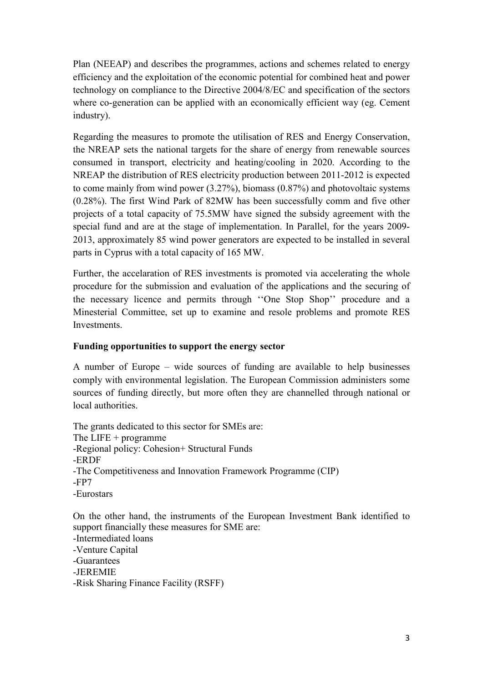Plan (NEEAP) and describes the programmes, actions and schemes related to energy efficiency and the exploitation of the economic potential for combined heat and power technology on compliance to the Directive 2004/8/EC and specification of the sectors where co-generation can be applied with an economically efficient way (eg. Cement industry).

Regarding the measures to promote the utilisation of RES and Energy Conservation, the NREAP sets the national targets for the share of energy from renewable sources consumed in transport, electricity and heating/cooling in 2020. According to the NREAP the distribution of RES electricity production between 2011-2012 is expected to come mainly from wind power (3.27%), biomass (0.87%) and photovoltaic systems (0.28%). The first Wind Park of 82MW has been successfully comm and five other projects of a total capacity of 75.5MW have signed the subsidy agreement with the special fund and are at the stage of implementation. In Parallel, for the years 2009- 2013, approximately 85 wind power generators are expected to be installed in several parts in Cyprus with a total capacity of 165 MW.

Further, the accelaration of RES investments is promoted via accelerating the whole procedure for the submission and evaluation of the applications and the securing of the necessary licence and permits through ''One Stop Shop'' procedure and a Minesterial Committee, set up to examine and resole problems and promote RES **Investments** 

# **Funding opportunities to support the energy sector**

A number of Europe – wide sources of funding are available to help businesses comply with environmental legislation. The European Commission administers some sources of funding directly, but more often they are channelled through national or local authorities.

The grants dedicated to this sector for SMEs are: The LIFE + programme -Regional policy: Cohesion+ Structural Funds -ERDF -The Competitiveness and Innovation Framework Programme (CIP) -FP7 -Eurostars

On the other hand, the instruments of the European Investment Bank identified to support financially these measures for SME are:

-Intermediated loans

-Venture Capital

-Guarantees

-JEREMIE

-Risk Sharing Finance Facility (RSFF)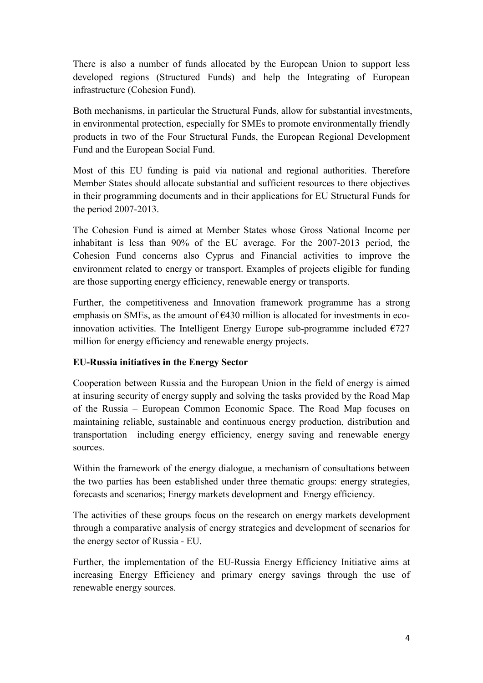There is also a number of funds allocated by the European Union to support less developed regions (Structured Funds) and help the Integrating of European infrastructure (Cohesion Fund).

Both mechanisms, in particular the Structural Funds, allow for substantial investments, in environmental protection, especially for SMEs to promote environmentally friendly products in two of the Four Structural Funds, the European Regional Development Fund and the European Social Fund.

Most of this EU funding is paid via national and regional authorities. Therefore Member States should allocate substantial and sufficient resources to there objectives in their programming documents and in their applications for EU Structural Funds for the period 2007-2013.

The Cohesion Fund is aimed at Member States whose Gross National Income per inhabitant is less than 90% of the EU average. For the 2007-2013 period, the Cohesion Fund concerns also Cyprus and Financial activities to improve the environment related to energy or transport. Examples of projects eligible for funding are those supporting energy efficiency, renewable energy or transports.

Further, the competitiveness and Innovation framework programme has a strong emphasis on SMEs, as the amount of  $E$ 430 million is allocated for investments in ecoinnovation activities. The Intelligent Energy Europe sub-programme included  $\epsilon$ 727 million for energy efficiency and renewable energy projects.

# **EU-Russia initiatives in the Energy Sector**

Cooperation between Russia and the European Union in the field of energy is aimed at insuring security of energy supply and solving the tasks provided by the Road Map of the Russia – European Common Economic Space. The Road Map focuses on maintaining reliable, sustainable and continuous energy production, distribution and transportation including energy efficiency, energy saving and renewable energy sources.

Within the framework of the energy dialogue, a mechanism of consultations between the two parties has been established under three thematic groups: energy strategies, forecasts and scenarios; Energy markets development and Energy efficiency.

The activities of these groups focus on the research on energy markets development through a comparative analysis of energy strategies and development of scenarios for the energy sector of Russia - EU.

Further, the implementation of the EU-Russia Energy Efficiency Initiative aims at increasing Energy Efficiency and primary energy savings through the use of renewable energy sources.